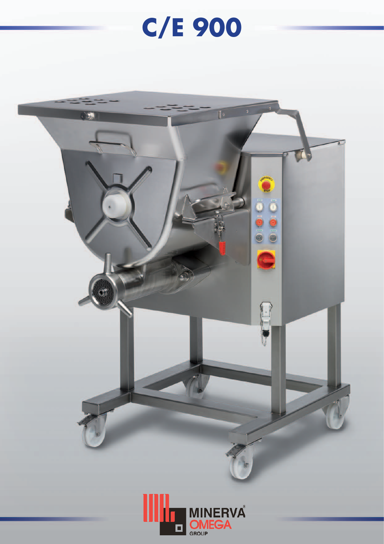## C/E 900